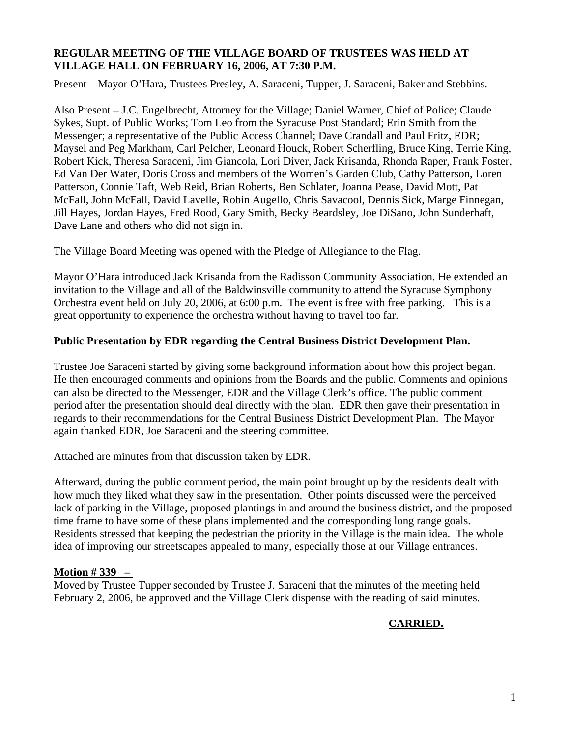#### **REGULAR MEETING OF THE VILLAGE BOARD OF TRUSTEES WAS HELD AT VILLAGE HALL ON FEBRUARY 16, 2006, AT 7:30 P.M.**

Present – Mayor O'Hara, Trustees Presley, A. Saraceni, Tupper, J. Saraceni, Baker and Stebbins.

Also Present – J.C. Engelbrecht, Attorney for the Village; Daniel Warner, Chief of Police; Claude Sykes, Supt. of Public Works; Tom Leo from the Syracuse Post Standard; Erin Smith from the Messenger; a representative of the Public Access Channel; Dave Crandall and Paul Fritz, EDR; Maysel and Peg Markham, Carl Pelcher, Leonard Houck, Robert Scherfling, Bruce King, Terrie King, Robert Kick, Theresa Saraceni, Jim Giancola, Lori Diver, Jack Krisanda, Rhonda Raper, Frank Foster, Ed Van Der Water, Doris Cross and members of the Women's Garden Club, Cathy Patterson, Loren Patterson, Connie Taft, Web Reid, Brian Roberts, Ben Schlater, Joanna Pease, David Mott, Pat McFall, John McFall, David Lavelle, Robin Augello, Chris Savacool, Dennis Sick, Marge Finnegan, Jill Hayes, Jordan Hayes, Fred Rood, Gary Smith, Becky Beardsley, Joe DiSano, John Sunderhaft, Dave Lane and others who did not sign in.

The Village Board Meeting was opened with the Pledge of Allegiance to the Flag.

Mayor O'Hara introduced Jack Krisanda from the Radisson Community Association. He extended an invitation to the Village and all of the Baldwinsville community to attend the Syracuse Symphony Orchestra event held on July 20, 2006, at 6:00 p.m. The event is free with free parking. This is a great opportunity to experience the orchestra without having to travel too far.

## **Public Presentation by EDR regarding the Central Business District Development Plan.**

Trustee Joe Saraceni started by giving some background information about how this project began. He then encouraged comments and opinions from the Boards and the public. Comments and opinions can also be directed to the Messenger, EDR and the Village Clerk's office. The public comment period after the presentation should deal directly with the plan. EDR then gave their presentation in regards to their recommendations for the Central Business District Development Plan. The Mayor again thanked EDR, Joe Saraceni and the steering committee.

Attached are minutes from that discussion taken by EDR.

Afterward, during the public comment period, the main point brought up by the residents dealt with how much they liked what they saw in the presentation. Other points discussed were the perceived lack of parking in the Village, proposed plantings in and around the business district, and the proposed time frame to have some of these plans implemented and the corresponding long range goals. Residents stressed that keeping the pedestrian the priority in the Village is the main idea. The whole idea of improving our streetscapes appealed to many, especially those at our Village entrances.

## **Motion # 339 –**

Moved by Trustee Tupper seconded by Trustee J. Saraceni that the minutes of the meeting held February 2, 2006, be approved and the Village Clerk dispense with the reading of said minutes.

# **CARRIED.**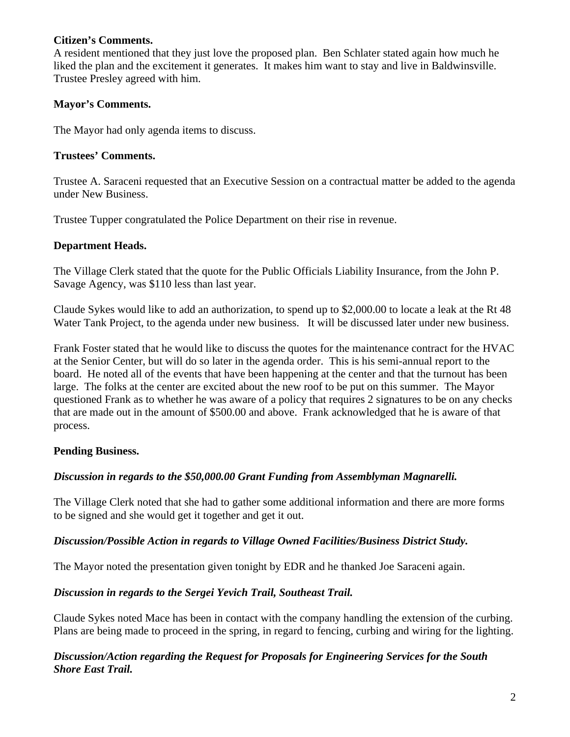#### **Citizen's Comments.**

A resident mentioned that they just love the proposed plan. Ben Schlater stated again how much he liked the plan and the excitement it generates. It makes him want to stay and live in Baldwinsville. Trustee Presley agreed with him.

## **Mayor's Comments.**

The Mayor had only agenda items to discuss.

## **Trustees' Comments.**

Trustee A. Saraceni requested that an Executive Session on a contractual matter be added to the agenda under New Business.

Trustee Tupper congratulated the Police Department on their rise in revenue.

## **Department Heads.**

The Village Clerk stated that the quote for the Public Officials Liability Insurance, from the John P. Savage Agency, was \$110 less than last year.

Claude Sykes would like to add an authorization, to spend up to \$2,000.00 to locate a leak at the Rt 48 Water Tank Project, to the agenda under new business. It will be discussed later under new business.

Frank Foster stated that he would like to discuss the quotes for the maintenance contract for the HVAC at the Senior Center, but will do so later in the agenda order. This is his semi-annual report to the board. He noted all of the events that have been happening at the center and that the turnout has been large. The folks at the center are excited about the new roof to be put on this summer. The Mayor questioned Frank as to whether he was aware of a policy that requires 2 signatures to be on any checks that are made out in the amount of \$500.00 and above. Frank acknowledged that he is aware of that process.

## **Pending Business.**

## *Discussion in regards to the \$50,000.00 Grant Funding from Assemblyman Magnarelli.*

The Village Clerk noted that she had to gather some additional information and there are more forms to be signed and she would get it together and get it out.

## *Discussion/Possible Action in regards to Village Owned Facilities/Business District Study.*

The Mayor noted the presentation given tonight by EDR and he thanked Joe Saraceni again.

## *Discussion in regards to the Sergei Yevich Trail, Southeast Trail.*

Claude Sykes noted Mace has been in contact with the company handling the extension of the curbing. Plans are being made to proceed in the spring, in regard to fencing, curbing and wiring for the lighting.

## *Discussion/Action regarding the Request for Proposals for Engineering Services for the South Shore East Trail.*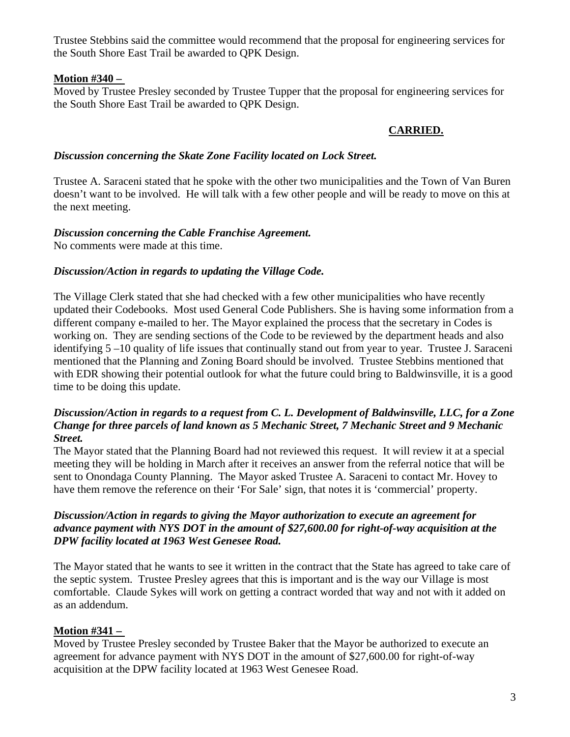Trustee Stebbins said the committee would recommend that the proposal for engineering services for the South Shore East Trail be awarded to QPK Design.

## **Motion #340 –**

Moved by Trustee Presley seconded by Trustee Tupper that the proposal for engineering services for the South Shore East Trail be awarded to QPK Design.

# **CARRIED.**

#### *Discussion concerning the Skate Zone Facility located on Lock Street.*

Trustee A. Saraceni stated that he spoke with the other two municipalities and the Town of Van Buren doesn't want to be involved. He will talk with a few other people and will be ready to move on this at the next meeting.

## *Discussion concerning the Cable Franchise Agreement.*

No comments were made at this time.

## *Discussion/Action in regards to updating the Village Code.*

The Village Clerk stated that she had checked with a few other municipalities who have recently updated their Codebooks. Most used General Code Publishers. She is having some information from a different company e-mailed to her. The Mayor explained the process that the secretary in Codes is working on. They are sending sections of the Code to be reviewed by the department heads and also identifying 5 –10 quality of life issues that continually stand out from year to year. Trustee J. Saraceni mentioned that the Planning and Zoning Board should be involved. Trustee Stebbins mentioned that with EDR showing their potential outlook for what the future could bring to Baldwinsville, it is a good time to be doing this update.

#### *Discussion/Action in regards to a request from C. L. Development of Baldwinsville, LLC, for a Zone Change for three parcels of land known as 5 Mechanic Street, 7 Mechanic Street and 9 Mechanic Street.*

The Mayor stated that the Planning Board had not reviewed this request. It will review it at a special meeting they will be holding in March after it receives an answer from the referral notice that will be sent to Onondaga County Planning. The Mayor asked Trustee A. Saraceni to contact Mr. Hovey to have them remove the reference on their 'For Sale' sign, that notes it is 'commercial' property.

#### *Discussion/Action in regards to giving the Mayor authorization to execute an agreement for advance payment with NYS DOT in the amount of \$27,600.00 for right-of-way acquisition at the DPW facility located at 1963 West Genesee Road.*

The Mayor stated that he wants to see it written in the contract that the State has agreed to take care of the septic system. Trustee Presley agrees that this is important and is the way our Village is most comfortable. Claude Sykes will work on getting a contract worded that way and not with it added on as an addendum.

# **Motion #341 –**

Moved by Trustee Presley seconded by Trustee Baker that the Mayor be authorized to execute an agreement for advance payment with NYS DOT in the amount of \$27,600.00 for right-of-way acquisition at the DPW facility located at 1963 West Genesee Road.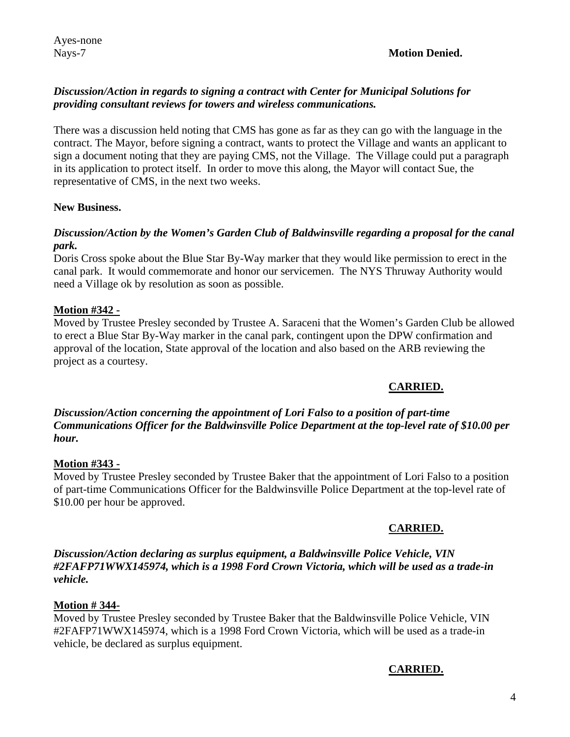## *Discussion/Action in regards to signing a contract with Center for Municipal Solutions for providing consultant reviews for towers and wireless communications.*

There was a discussion held noting that CMS has gone as far as they can go with the language in the contract. The Mayor, before signing a contract, wants to protect the Village and wants an applicant to sign a document noting that they are paying CMS, not the Village. The Village could put a paragraph in its application to protect itself. In order to move this along, the Mayor will contact Sue, the representative of CMS, in the next two weeks.

#### **New Business.**

#### *Discussion/Action by the Women's Garden Club of Baldwinsville regarding a proposal for the canal park.*

Doris Cross spoke about the Blue Star By-Way marker that they would like permission to erect in the canal park. It would commemorate and honor our servicemen. The NYS Thruway Authority would need a Village ok by resolution as soon as possible.

## **Motion #342 -**

Moved by Trustee Presley seconded by Trustee A. Saraceni that the Women's Garden Club be allowed to erect a Blue Star By-Way marker in the canal park, contingent upon the DPW confirmation and approval of the location, State approval of the location and also based on the ARB reviewing the project as a courtesy.

## **CARRIED.**

#### *Discussion/Action concerning the appointment of Lori Falso to a position of part-time Communications Officer for the Baldwinsville Police Department at the top-level rate of \$10.00 per hour.*

## **Motion #343 -**

Moved by Trustee Presley seconded by Trustee Baker that the appointment of Lori Falso to a position of part-time Communications Officer for the Baldwinsville Police Department at the top-level rate of \$10.00 per hour be approved.

## **CARRIED.**

*Discussion/Action declaring as surplus equipment, a Baldwinsville Police Vehicle, VIN #2FAFP71WWX145974, which is a 1998 Ford Crown Victoria, which will be used as a trade-in vehicle.* 

## **Motion # 344-**

Moved by Trustee Presley seconded by Trustee Baker that the Baldwinsville Police Vehicle, VIN #2FAFP71WWX145974, which is a 1998 Ford Crown Victoria, which will be used as a trade-in vehicle, be declared as surplus equipment.

#### **CARRIED.**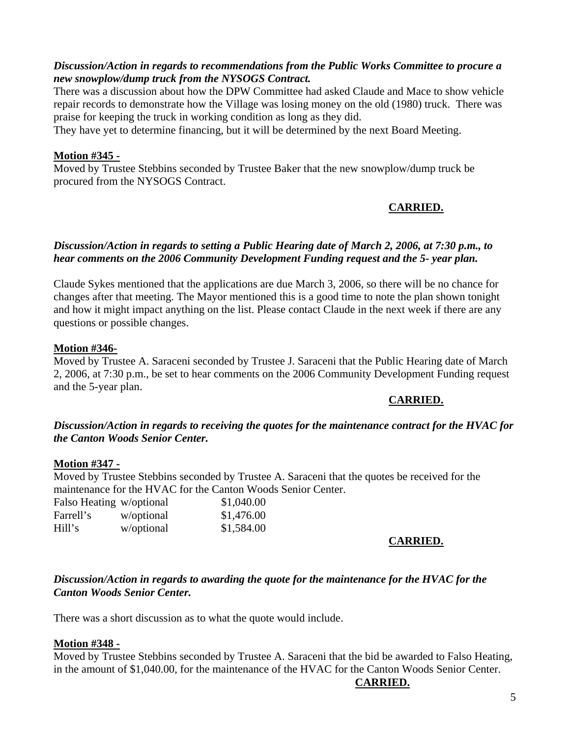#### *Discussion/Action in regards to recommendations from the Public Works Committee to procure a new snowplow/dump truck from the NYSOGS Contract.*

There was a discussion about how the DPW Committee had asked Claude and Mace to show vehicle repair records to demonstrate how the Village was losing money on the old (1980) truck. There was praise for keeping the truck in working condition as long as they did.

They have yet to determine financing, but it will be determined by the next Board Meeting.

#### **Motion #345 -**

Moved by Trustee Stebbins seconded by Trustee Baker that the new snowplow/dump truck be procured from the NYSOGS Contract.

# **CARRIED.**

#### *Discussion/Action in regards to setting a Public Hearing date of March 2, 2006, at 7:30 p.m., to hear comments on the 2006 Community Development Funding request and the 5- year plan.*

Claude Sykes mentioned that the applications are due March 3, 2006, so there will be no chance for changes after that meeting. The Mayor mentioned this is a good time to note the plan shown tonight and how it might impact anything on the list. Please contact Claude in the next week if there are any questions or possible changes.

## **Motion #346-**

Moved by Trustee A. Saraceni seconded by Trustee J. Saraceni that the Public Hearing date of March 2, 2006, at 7:30 p.m., be set to hear comments on the 2006 Community Development Funding request and the 5-year plan.

## **CARRIED.**

#### *Discussion/Action in regards to receiving the quotes for the maintenance contract for the HVAC for the Canton Woods Senior Center.*

## **Motion #347 -**

Moved by Trustee Stebbins seconded by Trustee A. Saraceni that the quotes be received for the maintenance for the HVAC for the Canton Woods Senior Center.

| Falso Heating w/optional |            | \$1,040.00 |
|--------------------------|------------|------------|
| Farrell's                | w/optional | \$1,476.00 |
| Hill's                   | w/optional | \$1,584.00 |

## **CARRIED.**

#### *Discussion/Action in regards to awarding the quote for the maintenance for the HVAC for the Canton Woods Senior Center.*

There was a short discussion as to what the quote would include.

#### **Motion #348 -**

Moved by Trustee Stebbins seconded by Trustee A. Saraceni that the bid be awarded to Falso Heating, in the amount of \$1,040.00, for the maintenance of the HVAC for the Canton Woods Senior Center.

## **CARRIED.**